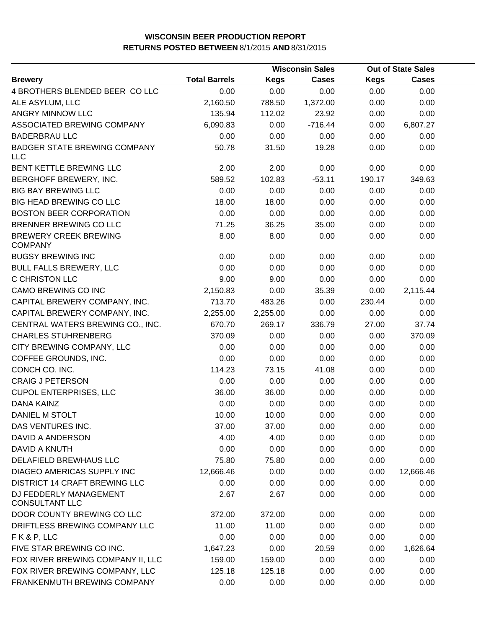|                                                   |                      |             | <b>Wisconsin Sales</b> | <b>Out of State Sales</b> |              |  |
|---------------------------------------------------|----------------------|-------------|------------------------|---------------------------|--------------|--|
| <b>Brewery</b>                                    | <b>Total Barrels</b> | <b>Kegs</b> | <b>Cases</b>           | <b>Kegs</b>               | <b>Cases</b> |  |
| 4 BROTHERS BLENDED BEER COLLC                     | 0.00                 | 0.00        | 0.00                   | 0.00                      | 0.00         |  |
| ALE ASYLUM, LLC                                   | 2,160.50             | 788.50      | 1,372.00               | 0.00                      | 0.00         |  |
| ANGRY MINNOW LLC                                  | 135.94               | 112.02      | 23.92                  | 0.00                      | 0.00         |  |
| ASSOCIATED BREWING COMPANY                        | 6,090.83             | 0.00        | $-716.44$              | 0.00                      | 6,807.27     |  |
| <b>BADERBRAU LLC</b>                              | 0.00                 | 0.00        | 0.00                   | 0.00                      | 0.00         |  |
| <b>BADGER STATE BREWING COMPANY</b><br><b>LLC</b> | 50.78                | 31.50       | 19.28                  | 0.00                      | 0.00         |  |
| BENT KETTLE BREWING LLC                           | 2.00                 | 2.00        | 0.00                   | 0.00                      | 0.00         |  |
| BERGHOFF BREWERY, INC.                            | 589.52               | 102.83      | $-53.11$               | 190.17                    | 349.63       |  |
| <b>BIG BAY BREWING LLC</b>                        | 0.00                 | 0.00        | 0.00                   | 0.00                      | 0.00         |  |
| <b>BIG HEAD BREWING CO LLC</b>                    | 18.00                | 18.00       | 0.00                   | 0.00                      | 0.00         |  |
| <b>BOSTON BEER CORPORATION</b>                    | 0.00                 | 0.00        | 0.00                   | 0.00                      | 0.00         |  |
| BRENNER BREWING CO LLC                            | 71.25                | 36.25       | 35.00                  | 0.00                      | 0.00         |  |
| <b>BREWERY CREEK BREWING</b><br><b>COMPANY</b>    | 8.00                 | 8.00        | 0.00                   | 0.00                      | 0.00         |  |
| <b>BUGSY BREWING INC</b>                          | 0.00                 | 0.00        | 0.00                   | 0.00                      | 0.00         |  |
| <b>BULL FALLS BREWERY, LLC</b>                    | 0.00                 | 0.00        | 0.00                   | 0.00                      | 0.00         |  |
| C CHRISTON LLC                                    | 9.00                 | 9.00        | 0.00                   | 0.00                      | 0.00         |  |
| CAMO BREWING CO INC                               | 2,150.83             | 0.00        | 35.39                  | 0.00                      | 2,115.44     |  |
| CAPITAL BREWERY COMPANY, INC.                     | 713.70               | 483.26      | 0.00                   | 230.44                    | 0.00         |  |
| CAPITAL BREWERY COMPANY, INC.                     | 2,255.00             | 2,255.00    | 0.00                   | 0.00                      | 0.00         |  |
| CENTRAL WATERS BREWING CO., INC.                  | 670.70               | 269.17      | 336.79                 | 27.00                     | 37.74        |  |
| <b>CHARLES STUHRENBERG</b>                        | 370.09               | 0.00        | 0.00                   | 0.00                      | 370.09       |  |
| CITY BREWING COMPANY, LLC                         | 0.00                 | 0.00        | 0.00                   | 0.00                      | 0.00         |  |
| COFFEE GROUNDS, INC.                              | 0.00                 | 0.00        | 0.00                   | 0.00                      | 0.00         |  |
| CONCH CO. INC.                                    | 114.23               | 73.15       | 41.08                  | 0.00                      | 0.00         |  |
| <b>CRAIG J PETERSON</b>                           | 0.00                 | 0.00        | 0.00                   | 0.00                      | 0.00         |  |
| <b>CUPOL ENTERPRISES, LLC</b>                     | 36.00                | 36.00       | 0.00                   | 0.00                      | 0.00         |  |
| <b>DANA KAINZ</b>                                 | 0.00                 | 0.00        | 0.00                   | 0.00                      | 0.00         |  |
| DANIEL M STOLT                                    | 10.00                | 10.00       | 0.00                   | 0.00                      | 0.00         |  |
| DAS VENTURES INC.                                 | 37.00                | 37.00       | 0.00                   | 0.00                      | 0.00         |  |
| DAVID A ANDERSON                                  | 4.00                 | 4.00        | 0.00                   | 0.00                      | 0.00         |  |
| DAVID A KNUTH                                     | 0.00                 | 0.00        | 0.00                   | 0.00                      | 0.00         |  |
| DELAFIELD BREWHAUS LLC                            | 75.80                | 75.80       | 0.00                   | 0.00                      | 0.00         |  |
| <b>DIAGEO AMERICAS SUPPLY INC</b>                 | 12,666.46            | 0.00        | 0.00                   | 0.00                      | 12,666.46    |  |
| DISTRICT 14 CRAFT BREWING LLC                     | 0.00                 | 0.00        | 0.00                   | 0.00                      | 0.00         |  |
| DJ FEDDERLY MANAGEMENT<br><b>CONSULTANT LLC</b>   | 2.67                 | 2.67        | 0.00                   | 0.00                      | 0.00         |  |
| DOOR COUNTY BREWING CO LLC                        | 372.00               | 372.00      | 0.00                   | 0.00                      | 0.00         |  |
| DRIFTLESS BREWING COMPANY LLC                     | 11.00                | 11.00       | 0.00                   | 0.00                      | 0.00         |  |
| FK&P, LLC                                         | 0.00                 | 0.00        | 0.00                   | 0.00                      | 0.00         |  |
| FIVE STAR BREWING CO INC.                         | 1,647.23             | 0.00        | 20.59                  | 0.00                      | 1,626.64     |  |
| FOX RIVER BREWING COMPANY II, LLC                 | 159.00               | 159.00      | 0.00                   | 0.00                      | 0.00         |  |
| FOX RIVER BREWING COMPANY, LLC                    | 125.18               | 125.18      | 0.00                   | 0.00                      | 0.00         |  |
| FRANKENMUTH BREWING COMPANY                       | 0.00                 | 0.00        | 0.00                   | 0.00                      | 0.00         |  |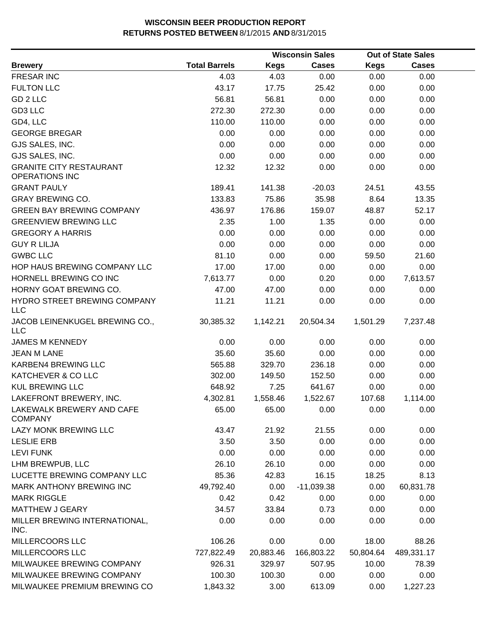|                                                         |                      |             | <b>Wisconsin Sales</b> |             | <b>Out of State Sales</b> |  |
|---------------------------------------------------------|----------------------|-------------|------------------------|-------------|---------------------------|--|
| <b>Brewery</b>                                          | <b>Total Barrels</b> | <b>Kegs</b> | <b>Cases</b>           | <b>Kegs</b> | <b>Cases</b>              |  |
| <b>FRESAR INC</b>                                       | 4.03                 | 4.03        | 0.00                   | 0.00        | 0.00                      |  |
| <b>FULTON LLC</b>                                       | 43.17                | 17.75       | 25.42                  | 0.00        | 0.00                      |  |
| GD 2 LLC                                                | 56.81                | 56.81       | 0.00                   | 0.00        | 0.00                      |  |
| GD3 LLC                                                 | 272.30               | 272.30      | 0.00                   | 0.00        | 0.00                      |  |
| GD4, LLC                                                | 110.00               | 110.00      | 0.00                   | 0.00        | 0.00                      |  |
| <b>GEORGE BREGAR</b>                                    | 0.00                 | 0.00        | 0.00                   | 0.00        | 0.00                      |  |
| GJS SALES, INC.                                         | 0.00                 | 0.00        | 0.00                   | 0.00        | 0.00                      |  |
| GJS SALES, INC.                                         | 0.00                 | 0.00        | 0.00                   | 0.00        | 0.00                      |  |
| <b>GRANITE CITY RESTAURANT</b><br><b>OPERATIONS INC</b> | 12.32                | 12.32       | 0.00                   | 0.00        | 0.00                      |  |
| <b>GRANT PAULY</b>                                      | 189.41               | 141.38      | $-20.03$               | 24.51       | 43.55                     |  |
| <b>GRAY BREWING CO.</b>                                 | 133.83               | 75.86       | 35.98                  | 8.64        | 13.35                     |  |
| <b>GREEN BAY BREWING COMPANY</b>                        | 436.97               | 176.86      | 159.07                 | 48.87       | 52.17                     |  |
| <b>GREENVIEW BREWING LLC</b>                            | 2.35                 | 1.00        | 1.35                   | 0.00        | 0.00                      |  |
| <b>GREGORY A HARRIS</b>                                 | 0.00                 | 0.00        | 0.00                   | 0.00        | 0.00                      |  |
| <b>GUY R LILJA</b>                                      | 0.00                 | 0.00        | 0.00                   | 0.00        | 0.00                      |  |
| <b>GWBC LLC</b>                                         | 81.10                | 0.00        | 0.00                   | 59.50       | 21.60                     |  |
| HOP HAUS BREWING COMPANY LLC                            | 17.00                | 17.00       | 0.00                   | 0.00        | 0.00                      |  |
| HORNELL BREWING CO INC                                  | 7,613.77             | 0.00        | 0.20                   | 0.00        | 7,613.57                  |  |
| HORNY GOAT BREWING CO.                                  | 47.00                | 47.00       | 0.00                   | 0.00        | 0.00                      |  |
| HYDRO STREET BREWING COMPANY<br><b>LLC</b>              | 11.21                | 11.21       | 0.00                   | 0.00        | 0.00                      |  |
| JACOB LEINENKUGEL BREWING CO.,<br><b>LLC</b>            | 30,385.32            | 1,142.21    | 20,504.34              | 1,501.29    | 7,237.48                  |  |
| <b>JAMES M KENNEDY</b>                                  | 0.00                 | 0.00        | 0.00                   | 0.00        | 0.00                      |  |
| <b>JEAN M LANE</b>                                      | 35.60                | 35.60       | 0.00                   | 0.00        | 0.00                      |  |
| <b>KARBEN4 BREWING LLC</b>                              | 565.88               | 329.70      | 236.18                 | 0.00        | 0.00                      |  |
| KATCHEVER & CO LLC                                      | 302.00               | 149.50      | 152.50                 | 0.00        | 0.00                      |  |
| <b>KUL BREWING LLC</b>                                  | 648.92               | 7.25        | 641.67                 | 0.00        | 0.00                      |  |
| LAKEFRONT BREWERY, INC.                                 | 4,302.81             | 1,558.46    | 1,522.67               | 107.68      | 1,114.00                  |  |
| LAKEWALK BREWERY AND CAFE<br><b>COMPANY</b>             | 65.00                | 65.00       | 0.00                   | 0.00        | 0.00                      |  |
| LAZY MONK BREWING LLC                                   | 43.47                | 21.92       | 21.55                  | 0.00        | 0.00                      |  |
| <b>LESLIE ERB</b>                                       | 3.50                 | 3.50        | 0.00                   | 0.00        | 0.00                      |  |
| <b>LEVI FUNK</b>                                        | 0.00                 | 0.00        | 0.00                   | 0.00        | 0.00                      |  |
| LHM BREWPUB, LLC                                        | 26.10                | 26.10       | 0.00                   | 0.00        | 0.00                      |  |
| LUCETTE BREWING COMPANY LLC                             | 85.36                | 42.83       | 16.15                  | 18.25       | 8.13                      |  |
| MARK ANTHONY BREWING INC                                | 49,792.40            | 0.00        | $-11,039.38$           | 0.00        | 60,831.78                 |  |
| <b>MARK RIGGLE</b>                                      | 0.42                 | 0.42        | 0.00                   | 0.00        | 0.00                      |  |
| <b>MATTHEW J GEARY</b>                                  | 34.57                | 33.84       | 0.73                   | 0.00        | 0.00                      |  |
| MILLER BREWING INTERNATIONAL,<br>INC.                   | 0.00                 | 0.00        | 0.00                   | 0.00        | 0.00                      |  |
| MILLERCOORS LLC                                         | 106.26               | 0.00        | 0.00                   | 18.00       | 88.26                     |  |
| MILLERCOORS LLC                                         | 727,822.49           | 20,883.46   | 166,803.22             | 50,804.64   | 489,331.17                |  |
| MILWAUKEE BREWING COMPANY                               | 926.31               | 329.97      | 507.95                 | 10.00       | 78.39                     |  |
| MILWAUKEE BREWING COMPANY                               | 100.30               | 100.30      | 0.00                   | 0.00        | 0.00                      |  |
| MILWAUKEE PREMIUM BREWING CO                            | 1,843.32             | 3.00        | 613.09                 | 0.00        | 1,227.23                  |  |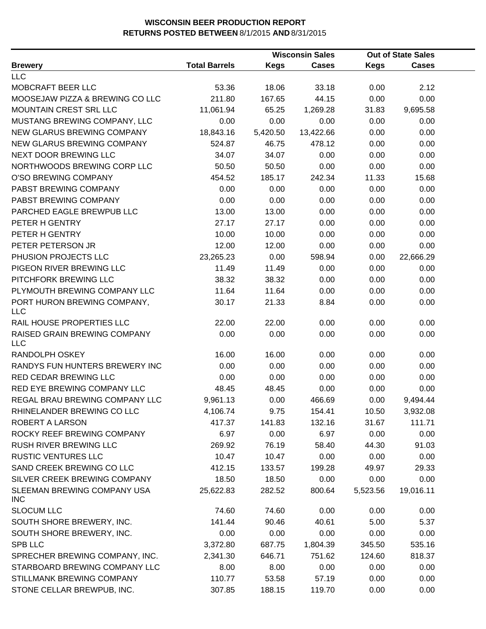|                                            |                      | <b>Wisconsin Sales</b> |              | <b>Out of State Sales</b> |              |  |
|--------------------------------------------|----------------------|------------------------|--------------|---------------------------|--------------|--|
| <b>Brewery</b>                             | <b>Total Barrels</b> | <b>Kegs</b>            | <b>Cases</b> | <b>Kegs</b>               | <b>Cases</b> |  |
| <b>LLC</b>                                 |                      |                        |              |                           |              |  |
| MOBCRAFT BEER LLC                          | 53.36                | 18.06                  | 33.18        | 0.00                      | 2.12         |  |
| MOOSEJAW PIZZA & BREWING CO LLC            | 211.80               | 167.65                 | 44.15        | 0.00                      | 0.00         |  |
| MOUNTAIN CREST SRL LLC                     | 11,061.94            | 65.25                  | 1,269.28     | 31.83                     | 9,695.58     |  |
| MUSTANG BREWING COMPANY, LLC               | 0.00                 | 0.00                   | 0.00         | 0.00                      | 0.00         |  |
| NEW GLARUS BREWING COMPANY                 | 18,843.16            | 5,420.50               | 13,422.66    | 0.00                      | 0.00         |  |
| NEW GLARUS BREWING COMPANY                 | 524.87               | 46.75                  | 478.12       | 0.00                      | 0.00         |  |
| NEXT DOOR BREWING LLC                      | 34.07                | 34.07                  | 0.00         | 0.00                      | 0.00         |  |
| NORTHWOODS BREWING CORP LLC                | 50.50                | 50.50                  | 0.00         | 0.00                      | 0.00         |  |
| O'SO BREWING COMPANY                       | 454.52               | 185.17                 | 242.34       | 11.33                     | 15.68        |  |
| PABST BREWING COMPANY                      | 0.00                 | 0.00                   | 0.00         | 0.00                      | 0.00         |  |
| PABST BREWING COMPANY                      | 0.00                 | 0.00                   | 0.00         | 0.00                      | 0.00         |  |
| PARCHED EAGLE BREWPUB LLC                  | 13.00                | 13.00                  | 0.00         | 0.00                      | 0.00         |  |
| PETER H GENTRY                             | 27.17                | 27.17                  | 0.00         | 0.00                      | 0.00         |  |
| PETER H GENTRY                             | 10.00                | 10.00                  | 0.00         | 0.00                      | 0.00         |  |
| PETER PETERSON JR                          | 12.00                | 12.00                  | 0.00         | 0.00                      | 0.00         |  |
| PHUSION PROJECTS LLC                       | 23,265.23            | 0.00                   | 598.94       | 0.00                      | 22,666.29    |  |
| PIGEON RIVER BREWING LLC                   | 11.49                | 11.49                  | 0.00         | 0.00                      | 0.00         |  |
| PITCHFORK BREWING LLC                      | 38.32                | 38.32                  | 0.00         | 0.00                      | 0.00         |  |
| PLYMOUTH BREWING COMPANY LLC               | 11.64                | 11.64                  | 0.00         | 0.00                      | 0.00         |  |
| PORT HURON BREWING COMPANY,<br><b>LLC</b>  | 30.17                | 21.33                  | 8.84         | 0.00                      | 0.00         |  |
| RAIL HOUSE PROPERTIES LLC                  | 22.00                | 22.00                  | 0.00         | 0.00                      | 0.00         |  |
| RAISED GRAIN BREWING COMPANY<br><b>LLC</b> | 0.00                 | 0.00                   | 0.00         | 0.00                      | 0.00         |  |
| RANDOLPH OSKEY                             | 16.00                | 16.00                  | 0.00         | 0.00                      | 0.00         |  |
| RANDYS FUN HUNTERS BREWERY INC             | 0.00                 | 0.00                   | 0.00         | 0.00                      | 0.00         |  |
| RED CEDAR BREWING LLC                      | 0.00                 | 0.00                   | 0.00         | 0.00                      | 0.00         |  |
| RED EYE BREWING COMPANY LLC                | 48.45                | 48.45                  | 0.00         | 0.00                      | 0.00         |  |
| REGAL BRAU BREWING COMPANY LLC             | 9,961.13             | 0.00                   | 466.69       | 0.00                      | 9,494.44     |  |
| RHINELANDER BREWING CO LLC                 | 4,106.74             | 9.75                   | 154.41       | 10.50                     | 3,932.08     |  |
| ROBERT A LARSON                            | 417.37               | 141.83                 | 132.16       | 31.67                     | 111.71       |  |
| ROCKY REEF BREWING COMPANY                 | 6.97                 | 0.00                   | 6.97         | 0.00                      | 0.00         |  |
| RUSH RIVER BREWING LLC                     | 269.92               | 76.19                  | 58.40        | 44.30                     | 91.03        |  |
| <b>RUSTIC VENTURES LLC</b>                 | 10.47                | 10.47                  | 0.00         | 0.00                      | 0.00         |  |
| SAND CREEK BREWING CO LLC                  | 412.15               | 133.57                 | 199.28       | 49.97                     | 29.33        |  |
| SILVER CREEK BREWING COMPANY               | 18.50                | 18.50                  | 0.00         | 0.00                      | 0.00         |  |
| SLEEMAN BREWING COMPANY USA<br><b>INC</b>  | 25,622.83            | 282.52                 | 800.64       | 5,523.56                  | 19,016.11    |  |
| <b>SLOCUM LLC</b>                          | 74.60                | 74.60                  | 0.00         | 0.00                      | 0.00         |  |
| SOUTH SHORE BREWERY, INC.                  | 141.44               | 90.46                  | 40.61        | 5.00                      | 5.37         |  |
| SOUTH SHORE BREWERY, INC.                  | 0.00                 | 0.00                   | 0.00         | 0.00                      | 0.00         |  |
| <b>SPB LLC</b>                             | 3,372.80             | 687.75                 | 1,804.39     | 345.50                    | 535.16       |  |
| SPRECHER BREWING COMPANY, INC.             | 2,341.30             | 646.71                 | 751.62       | 124.60                    | 818.37       |  |
| STARBOARD BREWING COMPANY LLC              | 8.00                 | 8.00                   | 0.00         | 0.00                      | 0.00         |  |
| STILLMANK BREWING COMPANY                  | 110.77               | 53.58                  | 57.19        | 0.00                      | 0.00         |  |
| STONE CELLAR BREWPUB, INC.                 | 307.85               | 188.15                 | 119.70       | 0.00                      | 0.00         |  |